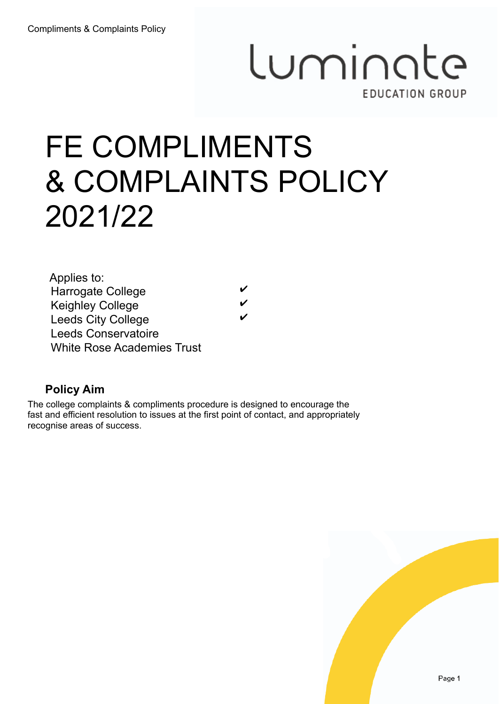# Luminate **EDUCATION GROUP**

# FE COMPLIMENTS & COMPLAINTS POLICY 2021/22

| Applies to:                       |  |
|-----------------------------------|--|
| <b>Harrogate College</b>          |  |
| <b>Keighley College</b>           |  |
| <b>Leeds City College</b>         |  |
| <b>Leeds Conservatoire</b>        |  |
| <b>White Rose Academies Trust</b> |  |

### **Policy Aim**

The college complaints & compliments procedure is designed to encourage the fast and efficient resolution to issues at the first point of contact, and appropriately recognise areas of success.

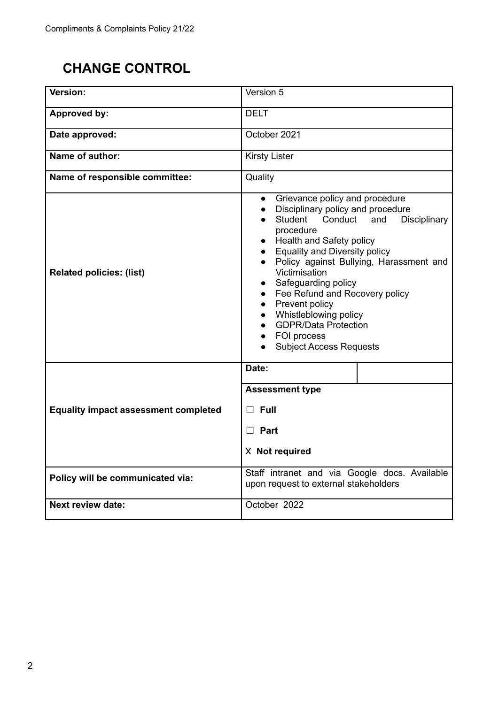## **CHANGE CONTROL**

| Version:                                    | Version 5                                                                                                                                                                                                                                                                                                                                                                                                                                                                                             |  |  |
|---------------------------------------------|-------------------------------------------------------------------------------------------------------------------------------------------------------------------------------------------------------------------------------------------------------------------------------------------------------------------------------------------------------------------------------------------------------------------------------------------------------------------------------------------------------|--|--|
| <b>Approved by:</b>                         | <b>DELT</b>                                                                                                                                                                                                                                                                                                                                                                                                                                                                                           |  |  |
| Date approved:                              | October 2021                                                                                                                                                                                                                                                                                                                                                                                                                                                                                          |  |  |
| Name of author:                             | <b>Kirsty Lister</b>                                                                                                                                                                                                                                                                                                                                                                                                                                                                                  |  |  |
| Name of responsible committee:              | Quality                                                                                                                                                                                                                                                                                                                                                                                                                                                                                               |  |  |
| <b>Related policies: (list)</b>             | Grievance policy and procedure<br>$\bullet$<br>Disciplinary policy and procedure<br>$\bullet$<br>Student<br>Conduct<br>and<br>Disciplinary<br>procedure<br>Health and Safety policy<br><b>Equality and Diversity policy</b><br>Policy against Bullying, Harassment and<br>$\bullet$<br>Victimisation<br>Safeguarding policy<br>Fee Refund and Recovery policy<br>Prevent policy<br>$\bullet$<br>Whistleblowing policy<br><b>GDPR/Data Protection</b><br>FOI process<br><b>Subject Access Requests</b> |  |  |
|                                             | Date:                                                                                                                                                                                                                                                                                                                                                                                                                                                                                                 |  |  |
|                                             | <b>Assessment type</b>                                                                                                                                                                                                                                                                                                                                                                                                                                                                                |  |  |
| <b>Equality impact assessment completed</b> | Full<br>$\Box$                                                                                                                                                                                                                                                                                                                                                                                                                                                                                        |  |  |
|                                             | $\Box$ Part                                                                                                                                                                                                                                                                                                                                                                                                                                                                                           |  |  |
|                                             | X Not required                                                                                                                                                                                                                                                                                                                                                                                                                                                                                        |  |  |
| Policy will be communicated via:            | Staff intranet and via Google docs. Available<br>upon request to external stakeholders                                                                                                                                                                                                                                                                                                                                                                                                                |  |  |
| <b>Next review date:</b>                    | October 2022                                                                                                                                                                                                                                                                                                                                                                                                                                                                                          |  |  |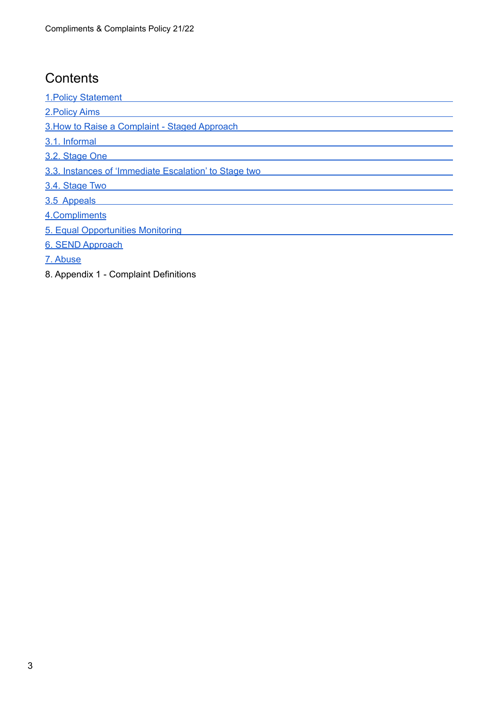## **Contents**

1.Policy [Statement](#page-3-0)

[2.Policy](#page-4-0) Aims

3.How to Raise a [Complaint](#page-4-1) - Staged Approach

3.1. [Informal](#page-4-2)

3.2. [Stage](#page-5-0) One

3.3. Instances of ['Immediate](#page-5-1) Escalation' to Stage two

3.4. [Stage](#page-5-2) Two

3.5 [Appeals](#page-6-0)

[4.Compliments](#page-6-1)

5. Equal [Opportunities](#page-7-0) Monitoring

6. SEND [Approach](#page-7-1)

7. [Abuse](#page-7-2)

8. Appendix 1 - Complaint Definitions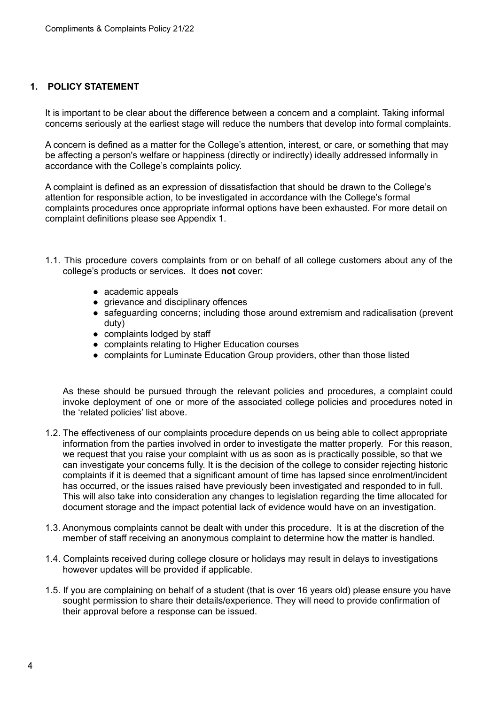#### <span id="page-3-0"></span>**1. POLICY STATEMENT**

It is important to be clear about the difference between a concern and a complaint. Taking informal concerns seriously at the earliest stage will reduce the numbers that develop into formal complaints.

A concern is defined as a matter for the College's attention, interest, or care, or something that may be affecting a person's welfare or happiness (directly or indirectly) ideally addressed informally in accordance with the College's complaints policy.

A complaint is defined as an expression of dissatisfaction that should be drawn to the College's attention for responsible action, to be investigated in accordance with the College's formal complaints procedures once appropriate informal options have been exhausted. For more detail on complaint definitions please see Appendix 1.

- 1.1. This procedure covers complaints from or on behalf of all college customers about any of the college's products or services. It does **not** cover:
	- academic appeals
	- grievance and disciplinary offences
	- safeguarding concerns; including those around extremism and radicalisation (prevent duty)
	- complaints lodged by staff
	- complaints relating to Higher Education courses
	- complaints for Luminate Education Group providers, other than those listed

As these should be pursued through the relevant policies and procedures, a complaint could invoke deployment of one or more of the associated college policies and procedures noted in the 'related policies' list above.

- 1.2. The effectiveness of our complaints procedure depends on us being able to collect appropriate information from the parties involved in order to investigate the matter properly. For this reason, we request that you raise your complaint with us as soon as is practically possible, so that we can investigate your concerns fully. It is the decision of the college to consider rejecting historic complaints if it is deemed that a significant amount of time has lapsed since enrolment/incident has occurred, or the issues raised have previously been investigated and responded to in full. This will also take into consideration any changes to legislation regarding the time allocated for document storage and the impact potential lack of evidence would have on an investigation.
- 1.3. Anonymous complaints cannot be dealt with under this procedure. It is at the discretion of the member of staff receiving an anonymous complaint to determine how the matter is handled.
- 1.4. Complaints received during college closure or holidays may result in delays to investigations however updates will be provided if applicable.
- 1.5. If you are complaining on behalf of a student (that is over 16 years old) please ensure you have sought permission to share their details/experience. They will need to provide confirmation of their approval before a response can be issued.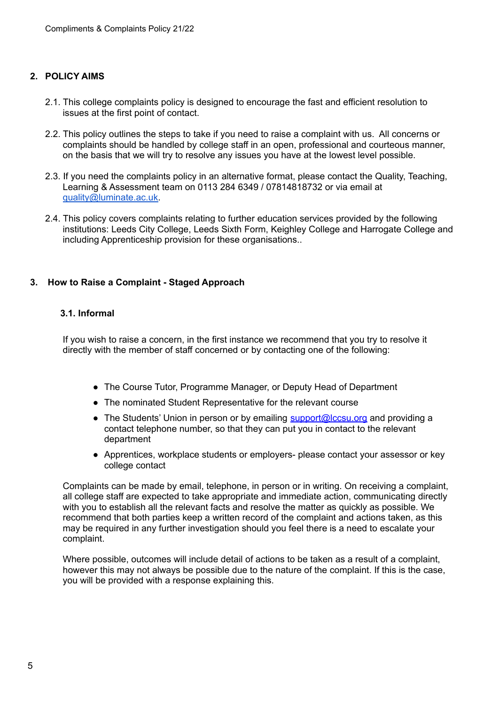#### <span id="page-4-0"></span>**2. POLICY AIMS**

- 2.1. This college complaints policy is designed to encourage the fast and efficient resolution to issues at the first point of contact.
- 2.2. This policy outlines the steps to take if you need to raise a complaint with us. All concerns or complaints should be handled by college staff in an open, professional and courteous manner, on the basis that we will try to resolve any issues you have at the lowest level possible.
- 2.3. If you need the complaints policy in an alternative format, please contact the Quality, Teaching, Learning & Assessment team on 0113 284 6349 / 07814818732 or via email at [quality@luminate.ac.uk.](mailto:quality@luminate.ac.uk)
- 2.4. This policy covers complaints relating to further education services provided by the following institutions: Leeds City College, Leeds Sixth Form, Keighley College and Harrogate College and including Apprenticeship provision for these organisations..

#### <span id="page-4-1"></span>**3. How to Raise a Complaint - Staged Approach**

#### <span id="page-4-2"></span>**3.1. Informal**

If you wish to raise a concern, in the first instance we recommend that you try to resolve it directly with the member of staff concerned or by contacting one of the following:

- The Course Tutor, Programme Manager, or Deputy Head of Department
- The nominated Student Representative for the relevant course
- The Students' Union in person or by emailing [support@lccsu.org](mailto:support@lccsu.org) and providing a contact telephone number, so that they can put you in contact to the relevant department
- Apprentices, workplace students or employers- please contact your assessor or key college contact

Complaints can be made by email, telephone, in person or in writing. On receiving a complaint, all college staff are expected to take appropriate and immediate action, communicating directly with you to establish all the relevant facts and resolve the matter as quickly as possible. We recommend that both parties keep a written record of the complaint and actions taken, as this may be required in any further investigation should you feel there is a need to escalate your complaint.

Where possible, outcomes will include detail of actions to be taken as a result of a complaint, however this may not always be possible due to the nature of the complaint. If this is the case, you will be provided with a response explaining this.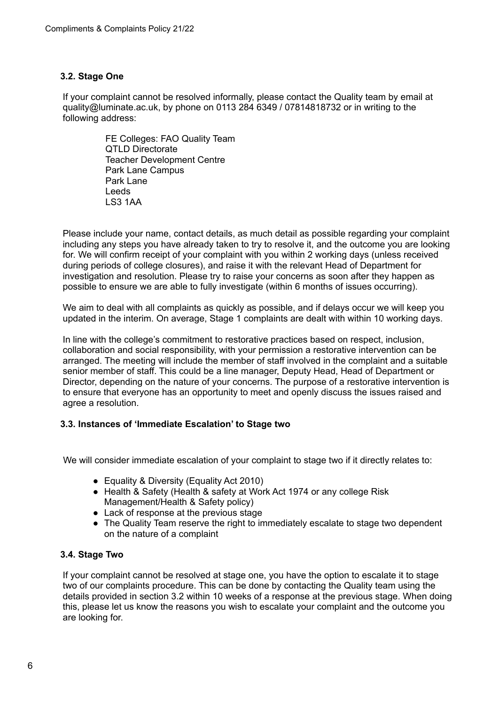#### <span id="page-5-0"></span>**3.2. Stage One**

If your complaint cannot be resolved informally, please contact the Quality team by email at quality@luminate.ac.uk, by phone on 0113 284 6349 / 07814818732 or in writing to the following address:

> FE Colleges: FAO Quality Team QTLD Directorate Teacher Development Centre Park Lane Campus Park Lane Leeds LS3 1AA

Please include your name, contact details, as much detail as possible regarding your complaint including any steps you have already taken to try to resolve it, and the outcome you are looking for. We will confirm receipt of your complaint with you within 2 working days (unless received during periods of college closures), and raise it with the relevant Head of Department for investigation and resolution. Please try to raise your concerns as soon after they happen as possible to ensure we are able to fully investigate (within 6 months of issues occurring).

We aim to deal with all complaints as quickly as possible, and if delays occur we will keep you updated in the interim. On average, Stage 1 complaints are dealt with within 10 working days.

In line with the college's commitment to restorative practices based on respect, inclusion, collaboration and social responsibility, with your permission a restorative intervention can be arranged. The meeting will include the member of staff involved in the complaint and a suitable senior member of staff. This could be a line manager, Deputy Head, Head of Department or Director, depending on the nature of your concerns. The purpose of a restorative intervention is to ensure that everyone has an opportunity to meet and openly discuss the issues raised and agree a resolution.

#### <span id="page-5-1"></span>**3.3. Instances of 'Immediate Escalation' to Stage two**

We will consider immediate escalation of your complaint to stage two if it directly relates to:

- Equality & Diversity (Equality Act 2010)
- Health & Safety (Health & safety at Work Act 1974 or any college Risk Management/Health & Safety policy)
- Lack of response at the previous stage
- The Quality Team reserve the right to immediately escalate to stage two dependent on the nature of a complaint

#### <span id="page-5-2"></span>**3.4. Stage Two**

If your complaint cannot be resolved at stage one, you have the option to escalate it to stage two of our complaints procedure. This can be done by contacting the Quality team using the details provided in section 3.2 within 10 weeks of a response at the previous stage. When doing this, please let us know the reasons you wish to escalate your complaint and the outcome you are looking for.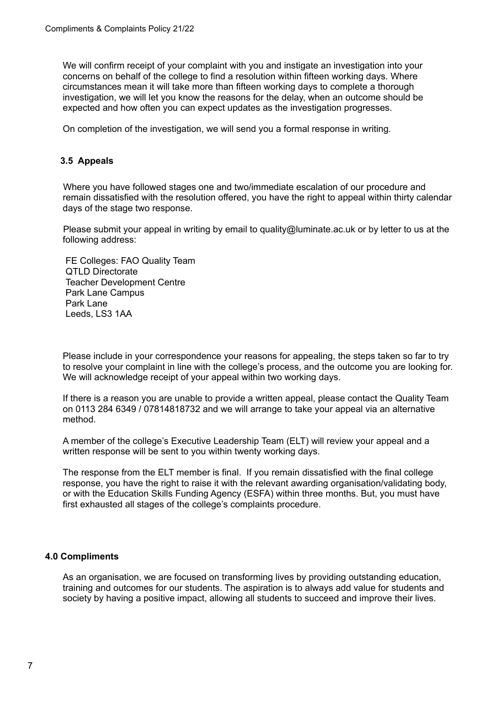We will confirm receipt of your complaint with you and instigate an investigation into your concerns on behalf of the college to find a resolution within fifteen working days. Where circumstances mean it will take more than fifteen working days to complete a thorough investigation, we will let you know the reasons for the delay, when an outcome should be expected and how often you can expect updates as the investigation progresses.

On completion of the investigation, we will send you a formal response in writing.

#### <span id="page-6-0"></span>**3.5 Appeals**

Where you have followed stages one and two/immediate escalation of our procedure and remain dissatisfied with the resolution offered, you have the right to appeal within thirty calendar days of the stage two response.

Please submit your appeal in writing by email to quality@luminate.ac.uk or by letter to us at the following address:

FE Colleges: FAO Quality Team QTLD Directorate Teacher Development Centre Park Lane Campus Park Lane Leeds, LS3 1AA

Please include in your correspondence your reasons for appealing, the steps taken so far to try to resolve your complaint in line with the college's process, and the outcome you are looking for. We will acknowledge receipt of your appeal within two working days.

If there is a reason you are unable to provide a written appeal, please contact the Quality Team on 0113 284 6349 / 07814818732 and we will arrange to take your appeal via an alternative method.

A member of the college's Executive Leadership Team (ELT) will review your appeal and a written response will be sent to you within twenty working days.

The response from the ELT member is final. If you remain dissatisfied with the final college response, you have the right to raise it with the relevant awarding organisation/validating body, or with the Education Skills Funding Agency (ESFA) within three months. But, you must have first exhausted all stages of the college's complaints procedure.

#### <span id="page-6-1"></span>**4.0 Compliments**

As an organisation, we are focused on transforming lives by providing outstanding education, training and outcomes for our students. The aspiration is to always add value for students and society by having a positive impact, allowing all students to succeed and improve their lives.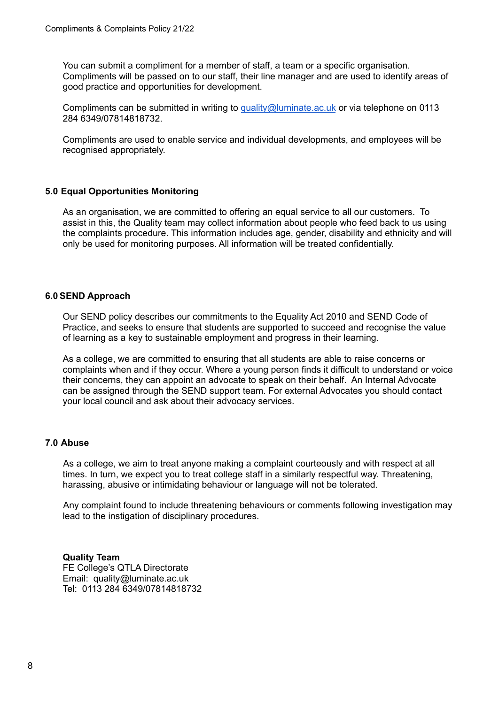You can submit a compliment for a member of staff, a team or a specific organisation. Compliments will be passed on to our staff, their line manager and are used to identify areas of good practice and opportunities for development.

Compliments can be submitted in writing to [quality@luminate.ac.uk](mailto:quality@luminate.ac.uk) or via telephone on 0113 284 6349/07814818732.

Compliments are used to enable service and individual developments, and employees will be recognised appropriately.

#### <span id="page-7-0"></span>**5.0 Equal Opportunities Monitoring**

As an organisation, we are committed to offering an equal service to all our customers. To assist in this, the Quality team may collect information about people who feed back to us using the complaints procedure. This information includes age, gender, disability and ethnicity and will only be used for monitoring purposes. All information will be treated confidentially.

#### <span id="page-7-1"></span>**6.0 SEND Approach**

Our SEND policy describes our commitments to the Equality Act 2010 and SEND Code of Practice, and seeks to ensure that students are supported to succeed and recognise the value of learning as a key to sustainable employment and progress in their learning.

As a college, we are committed to ensuring that all students are able to raise concerns or complaints when and if they occur. Where a young person finds it difficult to understand or voice their concerns, they can appoint an advocate to speak on their behalf. An Internal Advocate can be assigned through the SEND support team. For external Advocates you should contact your local council and ask about their advocacy services.

#### <span id="page-7-2"></span>**7.0 Abuse**

As a college, we aim to treat anyone making a complaint courteously and with respect at all times. In turn, we expect you to treat college staff in a similarly respectful way. Threatening, harassing, abusive or intimidating behaviour or language will not be tolerated.

Any complaint found to include threatening behaviours or comments following investigation may lead to the instigation of disciplinary procedures.

**Quality Team** FE College's QTLA Directorate Email: quality@luminate.ac.uk Tel: 0113 284 6349/07814818732